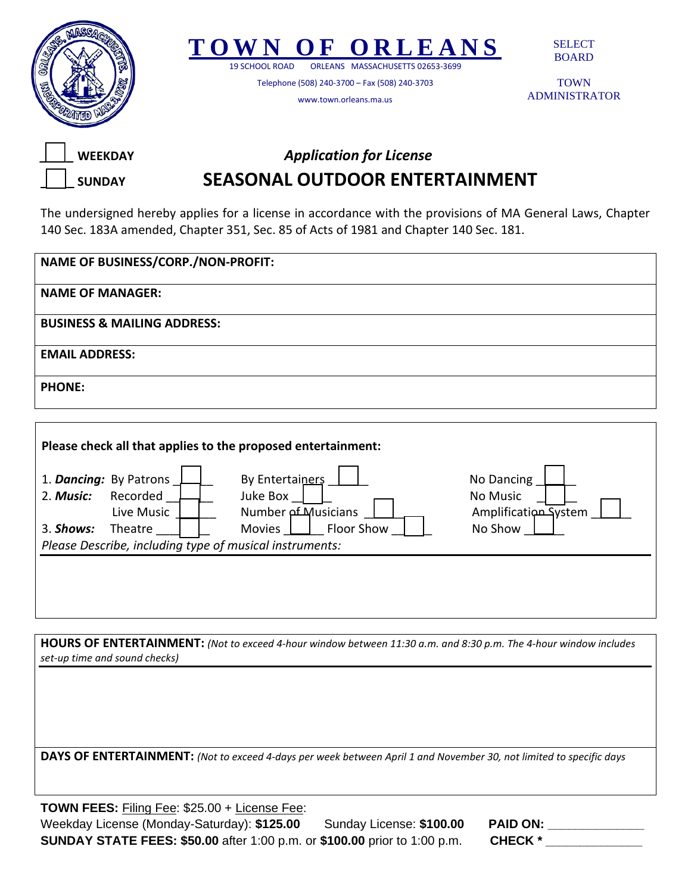



19 SCHOOL ROAD ORLEANS MASSACHUSETTS 02653-3699

Telephone (508) 240-3700 – Fax (508) 240-3703

www.town.orleans.ma.us

SELECT BOARD

TOWN ADMINISTRATOR



## *\_\_\_\_\_* **WEEKDAY** *Application for License* **\_\_\_\_\_ SUNDAY SEASONAL OUTDOOR ENTERTAINMENT**

The undersigned hereby applies for a license in accordance with the provisions of MA General Laws, Chapter 140 Sec. 183A amended, Chapter 351, Sec. 85 of Acts of 1981 and Chapter 140 Sec. 181.

| NAME OF BUSINESS/CORP./NON-PROFIT:     |
|----------------------------------------|
| <b>NAME OF MANAGER:</b>                |
| <b>BUSINESS &amp; MAILING ADDRESS:</b> |
| <b>EMAIL ADDRESS:</b>                  |
| <b>PHONE:</b>                          |

| 2. Music:                                               | 1. Dancing: By Patrons<br>Recorded<br>Live Music | By Entertainers<br>Juke Box<br><b>Number of Musicians</b> | No Dancing<br>No Music<br>Amplification System |  |  |
|---------------------------------------------------------|--------------------------------------------------|-----------------------------------------------------------|------------------------------------------------|--|--|
| 3. Shows:                                               | Theatre                                          | Floor Show<br><b>Movies</b>                               | No Show                                        |  |  |
| Please Describe, including type of musical instruments: |                                                  |                                                           |                                                |  |  |
|                                                         |                                                  |                                                           |                                                |  |  |

**HOURS OF ENTERTAINMENT:** *(Not to exceed 4-hour window between 11:30 a.m. and 8:30 p.m. The 4-hour window includes set-up time and sound checks)* 

**DAYS OF ENTERTAINMENT:** *(Not to exceed 4-days per week between April 1 and November 30, not limited to specific days*

**TOWN FEES:** Filing Fee: \$25.00 + License Fee: Weekday License (Monday-Saturday): \$125.00 Sunday License: \$100.00 **SUNDAY STATE FEES: \$50.00** after 1:00 p.m. or \$100.00 prior to 1:00 p.m.

| <b>PAID ON:</b> |  |
|-----------------|--|
| <b>CHECK</b> *  |  |